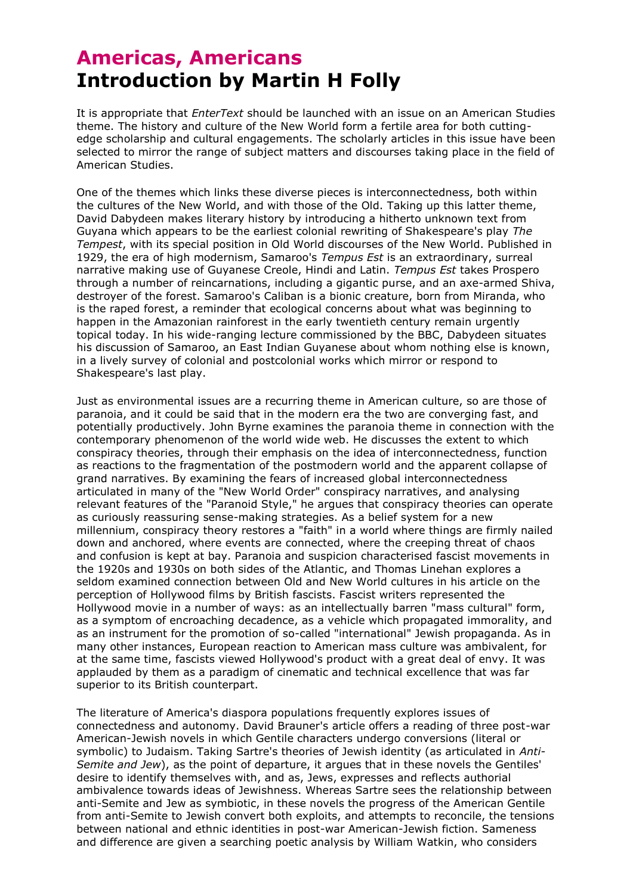## **Americas, Americans Introduction by Martin H Folly**

It is appropriate that *EnterText* should be launched with an issue on an American Studies theme. The history and culture of the New World form a fertile area for both cuttingedge scholarship and cultural engagements. The scholarly articles in this issue have been selected to mirror the range of subject matters and discourses taking place in the field of American Studies.

One of the themes which links these diverse pieces is interconnectedness, both within the cultures of the New World, and with those of the Old. Taking up this latter theme, David Dabydeen makes literary history by introducing a hitherto unknown text from Guyana which appears to be the earliest colonial rewriting of Shakespeare's play *The Tempest*, with its special position in Old World discourses of the New World. Published in 1929, the era of high modernism, Samaroo's *Tempus Est* is an extraordinary, surreal narrative making use of Guyanese Creole, Hindi and Latin. *Tempus Est* takes Prospero through a number of reincarnations, including a gigantic purse, and an axe-armed Shiva, destroyer of the forest. Samaroo's Caliban is a bionic creature, born from Miranda, who is the raped forest, a reminder that ecological concerns about what was beginning to happen in the Amazonian rainforest in the early twentieth century remain urgently topical today. In his wide-ranging lecture commissioned by the BBC, Dabydeen situates his discussion of Samaroo, an East Indian Guyanese about whom nothing else is known, in a lively survey of colonial and postcolonial works which mirror or respond to Shakespeare's last play.

Just as environmental issues are a recurring theme in American culture, so are those of paranoia, and it could be said that in the modern era the two are converging fast, and potentially productively. John Byrne examines the paranoia theme in connection with the contemporary phenomenon of the world wide web. He discusses the extent to which conspiracy theories, through their emphasis on the idea of interconnectedness, function as reactions to the fragmentation of the postmodern world and the apparent collapse of grand narratives. By examining the fears of increased global interconnectedness articulated in many of the "New World Order" conspiracy narratives, and analysing relevant features of the "Paranoid Style," he argues that conspiracy theories can operate as curiously reassuring sense-making strategies. As a belief system for a new millennium, conspiracy theory restores a "faith" in a world where things are firmly nailed down and anchored, where events are connected, where the creeping threat of chaos and confusion is kept at bay. Paranoia and suspicion characterised fascist movements in the 1920s and 1930s on both sides of the Atlantic, and Thomas Linehan explores a seldom examined connection between Old and New World cultures in his article on the perception of Hollywood films by British fascists. Fascist writers represented the Hollywood movie in a number of ways: as an intellectually barren "mass cultural" form, as a symptom of encroaching decadence, as a vehicle which propagated immorality, and as an instrument for the promotion of so-called "international" Jewish propaganda. As in many other instances, European reaction to American mass culture was ambivalent, for at the same time, fascists viewed Hollywood's product with a great deal of envy. It was applauded by them as a paradigm of cinematic and technical excellence that was far superior to its British counterpart.

The literature of America's diaspora populations frequently explores issues of connectedness and autonomy. David Brauner's article offers a reading of three post-war American-Jewish novels in which Gentile characters undergo conversions (literal or symbolic) to Judaism. Taking Sartre's theories of Jewish identity (as articulated in *Anti-Semite and Jew*), as the point of departure, it argues that in these novels the Gentiles' desire to identify themselves with, and as, Jews, expresses and reflects authorial ambivalence towards ideas of Jewishness. Whereas Sartre sees the relationship between anti-Semite and Jew as symbiotic, in these novels the progress of the American Gentile from anti-Semite to Jewish convert both exploits, and attempts to reconcile, the tensions between national and ethnic identities in post-war American-Jewish fiction. Sameness and difference are given a searching poetic analysis by William Watkin, who considers